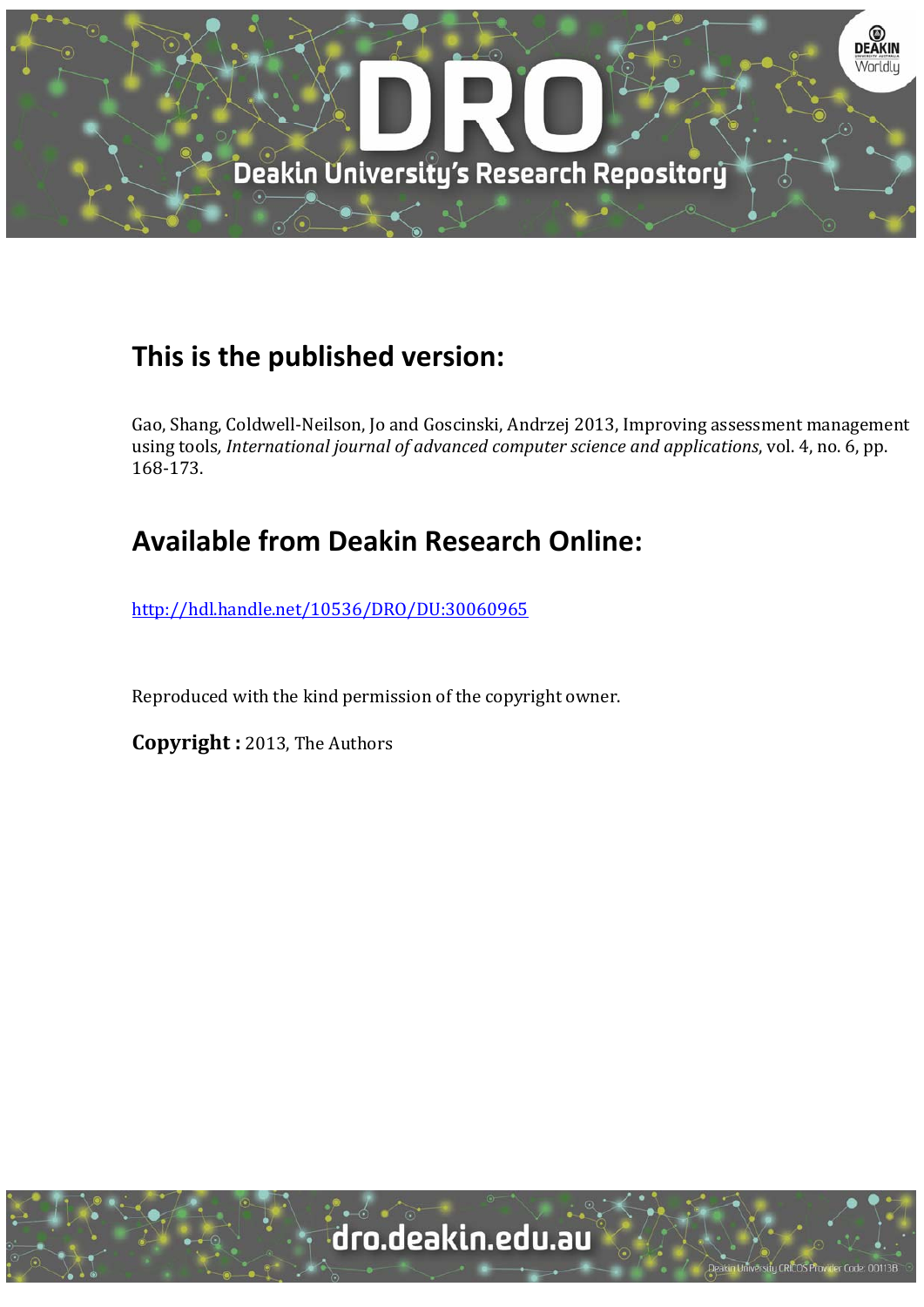

## **This is the published version:**

Gao, Shang, Coldwell-Neilson, Jo and Goscinski, Andrzej 2013, Improving assessment management using tools*, International journal of advanced computer science and applications*, vol. 4, no. 6, pp. 168‐173. 

## **Available from Deakin Research Online:**

http://hdl.handle.net/10536/DRO/DU:30060965

Reproduced with the kind permission of the copyright owner.

**Copyright** : 2013, The Authors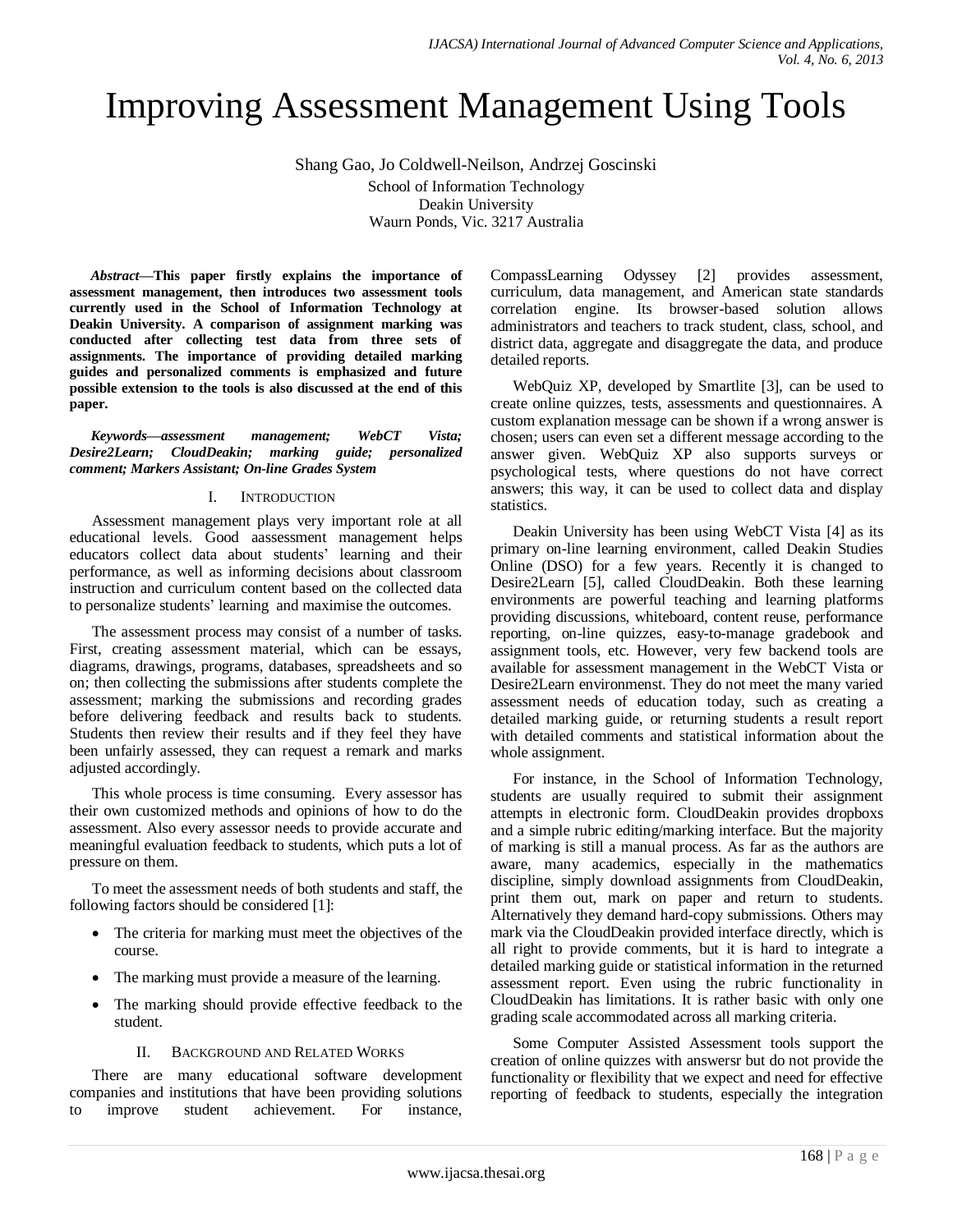# Improving Assessment Management Using Tools

Shang Gao, Jo Coldwell-Neilson, Andrzej Goscinski School of Information Technology Deakin University Waurn Ponds, Vic. 3217 Australia

*Abstract***—This paper firstly explains the importance of assessment management, then introduces two assessment tools currently used in the School of Information Technology at Deakin University. A comparison of assignment marking was conducted after collecting test data from three sets of assignments. The importance of providing detailed marking guides and personalized comments is emphasized and future possible extension to the tools is also discussed at the end of this paper.**

*Keywords—assessment management; WebCT Vista; Desire2Learn; CloudDeakin; marking guide; personalized comment; Markers Assistant; On-line Grades System*

## I. INTRODUCTION

Assessment management plays very important role at all educational levels. Good aassessment management helps educators collect data about students' learning and their performance, as well as informing decisions about classroom instruction and curriculum content based on the collected data to personalize students' learning and maximise the outcomes.

The assessment process may consist of a number of tasks. First, creating assessment material, which can be essays, diagrams, drawings, programs, databases, spreadsheets and so on; then collecting the submissions after students complete the assessment; marking the submissions and recording grades before delivering feedback and results back to students. Students then review their results and if they feel they have been unfairly assessed, they can request a remark and marks adjusted accordingly.

This whole process is time consuming. Every assessor has their own customized methods and opinions of how to do the assessment. Also every assessor needs to provide accurate and meaningful evaluation feedback to students, which puts a lot of pressure on them.

To meet the assessment needs of both students and staff, the following factors should be considered [1]:

- The criteria for marking must meet the objectives of the course.
- The marking must provide a measure of the learning.
- The marking should provide effective feedback to the student.

## II. BACKGROUND AND RELATED WORKS

There are many educational software development companies and institutions that have been providing solutions to improve student achievement. For instance,

CompassLearning Odyssey [2] provides assessment, curriculum, data management, and American state standards correlation engine. Its browser-based solution allows administrators and teachers to track student, class, school, and district data, aggregate and disaggregate the data, and produce detailed reports.

WebQuiz XP, developed by Smartlite [3], can be used to create online quizzes, tests, assessments and questionnaires. A custom explanation message can be shown if a wrong answer is chosen; users can even set a different message according to the answer given. WebQuiz XP also supports surveys or psychological tests, where questions do not have correct answers; this way, it can be used to collect data and display statistics.

Deakin University has been using WebCT Vista [4] as its primary on-line learning environment, called Deakin Studies Online (DSO) for a few years. Recently it is changed to Desire2Learn [5], called CloudDeakin. Both these learning environments are powerful teaching and learning platforms providing discussions, whiteboard, content reuse, performance reporting, on-line quizzes, easy-to-manage gradebook and assignment tools, etc. However, very few backend tools are available for assessment management in the WebCT Vista or Desire2Learn environmenst. They do not meet the many varied assessment needs of education today, such as creating a detailed marking guide, or returning students a result report with detailed comments and statistical information about the whole assignment.

For instance, in the School of Information Technology, students are usually required to submit their assignment attempts in electronic form. CloudDeakin provides dropboxs and a simple rubric editing/marking interface. But the majority of marking is still a manual process. As far as the authors are aware, many academics, especially in the mathematics discipline, simply download assignments from CloudDeakin, print them out, mark on paper and return to students. Alternatively they demand hard-copy submissions. Others may mark via the CloudDeakin provided interface directly, which is all right to provide comments, but it is hard to integrate a detailed marking guide or statistical information in the returned assessment report. Even using the rubric functionality in CloudDeakin has limitations. It is rather basic with only one grading scale accommodated across all marking criteria.

Some Computer Assisted Assessment tools support the creation of online quizzes with answersr but do not provide the functionality or flexibility that we expect and need for effective reporting of feedback to students, especially the integration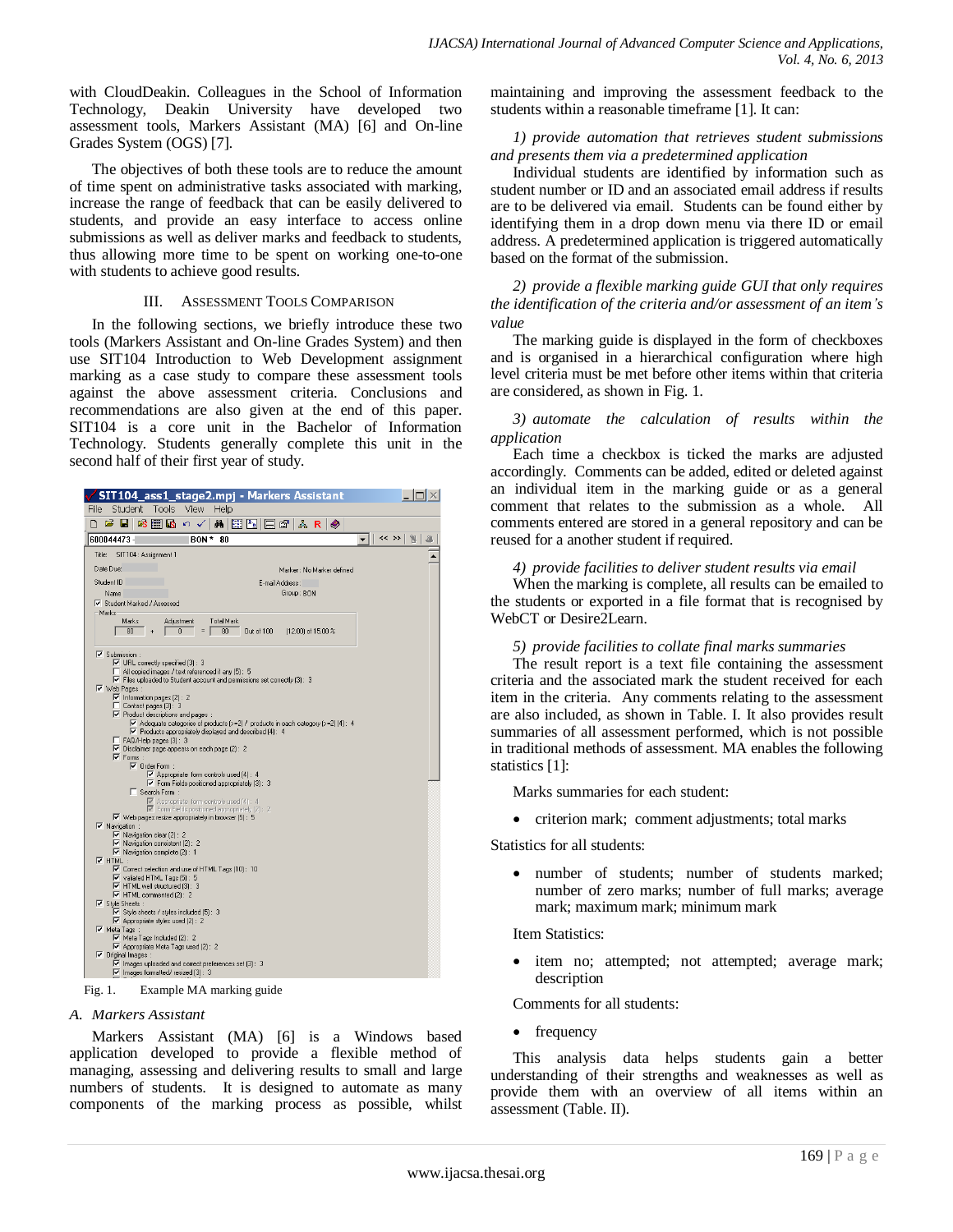with CloudDeakin. Colleagues in the School of Information Technology, Deakin University have developed two assessment tools, Markers Assistant (MA) [6] and On-line Grades System (OGS) [7].

The objectives of both these tools are to reduce the amount of time spent on administrative tasks associated with marking, increase the range of feedback that can be easily delivered to students, and provide an easy interface to access online submissions as well as deliver marks and feedback to students, thus allowing more time to be spent on working one-to-one with students to achieve good results.

### III. ASSESSMENT TOOLS COMPARISON

In the following sections, we briefly introduce these two tools (Markers Assistant and On-line Grades System) and then use SIT104 Introduction to Web Development assignment marking as a case study to compare these assessment tools against the above assessment criteria. Conclusions and recommendations are also given at the end of this paper. SIT104 is a core unit in the Bachelor of Information Technology. Students generally complete this unit in the second half of their first year of study.



#### *A. Markers Assistant*

Markers Assistant (MA) [6] is a Windows based application developed to provide a flexible method of managing, assessing and delivering results to small and large numbers of students. It is designed to automate as many components of the marking process as possible, whilst maintaining and improving the assessment feedback to the students within a reasonable timeframe [1]. It can:

## *1) provide automation that retrieves student submissions and presents them via a predetermined application*

Individual students are identified by information such as student number or ID and an associated email address if results are to be delivered via email. Students can be found either by identifying them in a drop down menu via there ID or email address. A predetermined application is triggered automatically based on the format of the submission.

*2) provide a flexible marking guide GUI that only requires the identification of the criteria and/or assessment of an item's value*

The marking guide is displayed in the form of checkboxes and is organised in a hierarchical configuration where high level criteria must be met before other items within that criteria are considered, as shown in Fig. 1.

## *3) automate the calculation of results within the application*

Each time a checkbox is ticked the marks are adjusted accordingly. Comments can be added, edited or deleted against an individual item in the marking guide or as a general comment that relates to the submission as a whole. All comments entered are stored in a general repository and can be reused for a another student if required.

*4) provide facilities to deliver student results via email*

When the marking is complete, all results can be emailed to the students or exported in a file format that is recognised by WebCT or Desire2Learn.

## *5) provide facilities to collate final marks summaries*

The result report is a text file containing the assessment criteria and the associated mark the student received for each item in the criteria. Any comments relating to the assessment are also included, as shown in Table. I. It also provides result summaries of all assessment performed, which is not possible in traditional methods of assessment. MA enables the following statistics [1]:

Marks summaries for each student:

• criterion mark; comment adjustments; total marks

Statistics for all students:

 number of students; number of students marked; number of zero marks; number of full marks; average mark; maximum mark; minimum mark

Item Statistics:

 item no; attempted; not attempted; average mark; description

Comments for all students:

• frequency

This analysis data helps students gain a better understanding of their strengths and weaknesses as well as provide them with an overview of all items within an assessment (Table. II).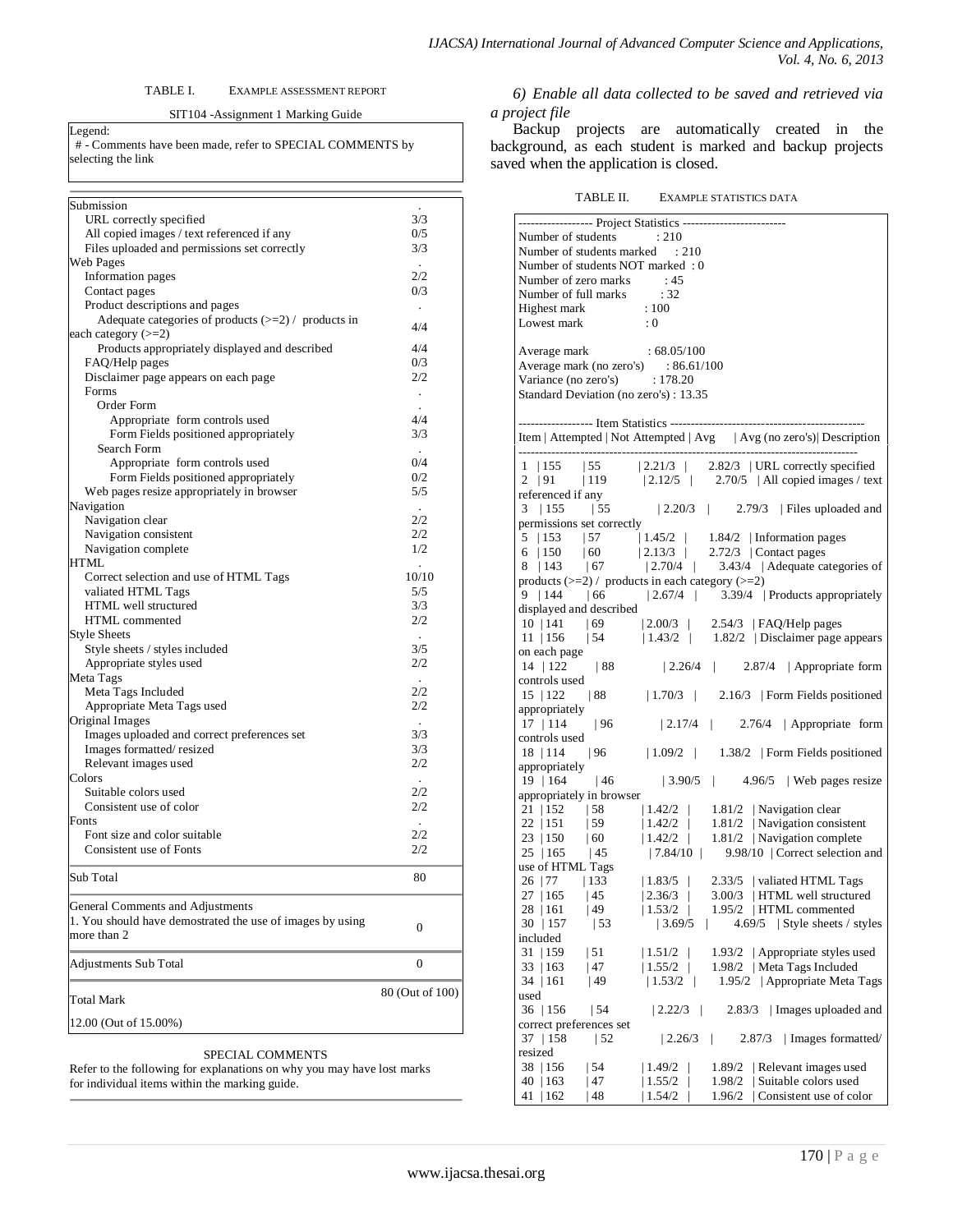#### TABLE I. EXAMPLE ASSESSMENT REPORT

#### SIT104 -Assignment 1 Marking Guide

Legend: # - Comments have been made, refer to SPECIAL COMMENTS by selecting the link

| Submission                                                                                    |                      |
|-----------------------------------------------------------------------------------------------|----------------------|
| URL correctly specified                                                                       | 3/3                  |
| All copied images / text referenced if any                                                    | 0/5                  |
| Files uploaded and permissions set correctly                                                  | 3/3                  |
| Web Pages                                                                                     | $\ddot{\phantom{a}}$ |
| Information pages                                                                             | 2/2                  |
| Contact pages                                                                                 | 0/3                  |
| Product descriptions and pages                                                                | $\epsilon$           |
| Adequate categories of products $(\geq=2)$ / products in<br>each category $(>=2)$             | 4/4                  |
| Products appropriately displayed and described                                                | 4/4                  |
| FAQ/Help pages                                                                                | 0/3                  |
| Disclaimer page appears on each page                                                          | 2/2                  |
| Forms                                                                                         | $\blacksquare$       |
| Order Form                                                                                    |                      |
| Appropriate form controls used                                                                | 4/4                  |
| Form Fields positioned appropriately                                                          | 3/3                  |
| Search Form                                                                                   |                      |
| Appropriate form controls used                                                                | 0/4                  |
| Form Fields positioned appropriately                                                          | 0/2                  |
| Web pages resize appropriately in browser                                                     | 5/5                  |
| Navigation                                                                                    | $\sim$               |
| Navigation clear                                                                              | 2/2                  |
| Navigation consistent                                                                         | 2/2                  |
| Navigation complete                                                                           | 1/2                  |
| HTML                                                                                          | ÷.                   |
| Correct selection and use of HTML Tags                                                        | 10/10                |
| valiated HTML Tags                                                                            | 5/5                  |
| HTML well structured                                                                          | 3/3                  |
| HTML commented                                                                                | 2/2                  |
| <b>Style Sheets</b>                                                                           |                      |
| Style sheets / styles included                                                                | 3/5                  |
| Appropriate styles used                                                                       | 2/2                  |
| Meta Tags                                                                                     | 2/2                  |
| Meta Tags Included                                                                            | 2/2                  |
| Appropriate Meta Tags used<br>Original Images                                                 |                      |
| Images uploaded and correct preferences set                                                   | ÷<br>3/3             |
| Images formatted/resized                                                                      | 3/3                  |
| Relevant images used                                                                          | 2/2                  |
| Colors                                                                                        |                      |
| Suitable colors used                                                                          | 2/2                  |
| Consistent use of color                                                                       | 2/2                  |
| Fonts                                                                                         |                      |
| Font size and color suitable                                                                  | 2/2                  |
| Consistent use of Fonts                                                                       | 2/2                  |
|                                                                                               |                      |
| Sub Total                                                                                     | 80                   |
| General Comments and Adjustments<br>1. You should have demostrated the use of images by using |                      |
| more than 2                                                                                   | 0                    |
| Adjustments Sub Total                                                                         | $\boldsymbol{0}$     |
| Total Mark                                                                                    | 80 (Out of 100)      |
|                                                                                               |                      |
| 12.00 (Out of 15.00%)                                                                         |                      |

SPECIAL COMMENTS

Refer to the following for explanations on why you may have lost marks for individual items within the marking guide.

*6) Enable all data collected to be saved and retrieved via a project file*

Backup projects are automatically created in the background, as each student is marked and backup projects saved when the application is closed.

| TABLE II.<br><b>EXAMPLE STATISTICS DATA</b> |
|---------------------------------------------|
|---------------------------------------------|

| ------------------ Project Statistics --------------------------                                                                    |                                    |              |                                                                                                                                                                                                                                           |
|-------------------------------------------------------------------------------------------------------------------------------------|------------------------------------|--------------|-------------------------------------------------------------------------------------------------------------------------------------------------------------------------------------------------------------------------------------------|
| Number of students : 210                                                                                                            |                                    |              |                                                                                                                                                                                                                                           |
| Number of students marked : 210                                                                                                     |                                    |              |                                                                                                                                                                                                                                           |
| Number of students NOT marked : 0                                                                                                   |                                    |              |                                                                                                                                                                                                                                           |
| Number of zero marks : 45                                                                                                           |                                    |              |                                                                                                                                                                                                                                           |
|                                                                                                                                     |                                    |              |                                                                                                                                                                                                                                           |
|                                                                                                                                     |                                    |              |                                                                                                                                                                                                                                           |
| Number of full marks : 32<br>Highest mark : 100<br>Lowest mark : 0                                                                  |                                    |              |                                                                                                                                                                                                                                           |
|                                                                                                                                     |                                    |              |                                                                                                                                                                                                                                           |
| $\begin{tabular}{c} Average mark & \qquad : 68.05/100 \\ \end{tabular}$                                                             |                                    |              |                                                                                                                                                                                                                                           |
| Average mark (no zero's) : 86.61/100                                                                                                |                                    |              |                                                                                                                                                                                                                                           |
| Variance (no zero's) : 178.20                                                                                                       |                                    |              |                                                                                                                                                                                                                                           |
| Standard Deviation (no zero's): 13.35                                                                                               |                                    |              |                                                                                                                                                                                                                                           |
|                                                                                                                                     |                                    |              |                                                                                                                                                                                                                                           |
|                                                                                                                                     |                                    |              |                                                                                                                                                                                                                                           |
|                                                                                                                                     |                                    |              |                                                                                                                                                                                                                                           |
|                                                                                                                                     |                                    |              |                                                                                                                                                                                                                                           |
|                                                                                                                                     |                                    |              |                                                                                                                                                                                                                                           |
|                                                                                                                                     |                                    |              |                                                                                                                                                                                                                                           |
|                                                                                                                                     |                                    |              |                                                                                                                                                                                                                                           |
|                                                                                                                                     |                                    |              |                                                                                                                                                                                                                                           |
|                                                                                                                                     |                                    |              | $\frac{1}{2}$   155   55   2.21/3   2.82/3   URL correctly specified<br>2   91   119   2.12/5   2.70/5   All copied images / text<br>referenced if any<br>3   155   55   2.20/3   2.79/3   Files uploaded and<br>permissions set correctl |
| 5   153   57   1.45/2   1.84/2   Information pages<br>6   150   60   2.13/3   2.72/3   Contact pages                                |                                    |              |                                                                                                                                                                                                                                           |
|                                                                                                                                     |                                    |              |                                                                                                                                                                                                                                           |
|                                                                                                                                     |                                    |              | 8   143   167   2.70/4   3.43/4   Adequate categories of                                                                                                                                                                                  |
| products $(\geq=2)$ / products in each category $(\geq=2)$                                                                          |                                    |              |                                                                                                                                                                                                                                           |
|                                                                                                                                     |                                    |              | 9   144   66   2.67/4   3.39/4   Products appropriately                                                                                                                                                                                   |
| displayed and described                                                                                                             |                                    |              |                                                                                                                                                                                                                                           |
|                                                                                                                                     |                                    |              |                                                                                                                                                                                                                                           |
|                                                                                                                                     |                                    |              | $\begin{tabular}{l c c c c c c c c} \hline 10 & 141 & 69 & 2.00/3 & 2.54/3 & \text{[FAQ/Help pages} \\ \hline 11 & 156 & 54 & 1.43/2 & 1.82/2 & \text{Disclaimer page appears} \\ \hline \end{tabular}$                                   |
| on each page                                                                                                                        |                                    |              |                                                                                                                                                                                                                                           |
|                                                                                                                                     |                                    |              | 14   122   88   2.26/4   2.87/4   Appropriate form                                                                                                                                                                                        |
| controls used                                                                                                                       |                                    |              |                                                                                                                                                                                                                                           |
|                                                                                                                                     |                                    |              | 15   122   88   1.70/3   2.16/3   Form Fields positioned                                                                                                                                                                                  |
| appropriately                                                                                                                       |                                    |              |                                                                                                                                                                                                                                           |
|                                                                                                                                     |                                    |              |                                                                                                                                                                                                                                           |
| controls used                                                                                                                       |                                    |              |                                                                                                                                                                                                                                           |
| 18   114                                                                                                                            |                                    |              | $ 96 $ $ 1.09/2 $ $ 1.38/2 $ Form Fields positioned                                                                                                                                                                                       |
| appropriately                                                                                                                       |                                    |              |                                                                                                                                                                                                                                           |
|                                                                                                                                     |                                    |              | $\overline{19}$   164   46   3.90/5   4.96/5   Web pages resize                                                                                                                                                                           |
| appropriately in browser                                                                                                            |                                    |              |                                                                                                                                                                                                                                           |
|                                                                                                                                     |                                    |              | $\begin{array}{ l l l l l } \hline 21 & 152 & 58 & 14.2/2 & 181/2 & \text{Navigation clear} \\ \hline 22 & 151 & 59 & 14.2/2 & 181/2 & \text{Navigation consistent} \end{array}$                                                          |
|                                                                                                                                     |                                    |              |                                                                                                                                                                                                                                           |
|                                                                                                                                     |                                    |              |                                                                                                                                                                                                                                           |
|                                                                                                                                     |                                    |              | 7.84/10   9.98/10   Correct selection and                                                                                                                                                                                                 |
| 23   150   60   1.42/2   1.81/2   Navigation complete<br>25   165   45   17.84/10   9.98/10   Correct selection<br>use of HTML Tags |                                    |              |                                                                                                                                                                                                                                           |
| 26   77   133   1.83/5   2.33/5   valiated HTML Tags                                                                                |                                    |              |                                                                                                                                                                                                                                           |
|                                                                                                                                     |                                    |              | 27   165   45   2.36/3   3.00/3   HTML well structured                                                                                                                                                                                    |
| 28   161<br>  49                                                                                                                    | 1.53/2                             |              | 1.95/2   HTML commented                                                                                                                                                                                                                   |
| $30 \mid 157$<br>  53                                                                                                               | 3.69/5                             | $\mathbb{L}$ | $4.69/5$   Style sheets / styles                                                                                                                                                                                                          |
| included                                                                                                                            |                                    |              |                                                                                                                                                                                                                                           |
| 31   159<br>$\vert 51 \vert$                                                                                                        | 1.51/2                             | 1.93/2       | Appropriate styles used                                                                                                                                                                                                                   |
| 47<br>33   163                                                                                                                      | 1.55/2<br>L                        |              | 1.98/2   Meta Tags Included                                                                                                                                                                                                               |
| 34 161<br> 49                                                                                                                       | 1.53/2<br>$\overline{\phantom{a}}$ |              | 1.95/2   Appropriate Meta Tags                                                                                                                                                                                                            |
| used                                                                                                                                |                                    |              |                                                                                                                                                                                                                                           |
| 36 156<br>$\vert$ 54                                                                                                                | 2.22/3<br>$\mathbf{I}$             | 2.83/3       | I mages uploaded and                                                                                                                                                                                                                      |
| correct preferences set                                                                                                             |                                    |              |                                                                                                                                                                                                                                           |
| $\vert$ 52<br>37   158                                                                                                              | 2.26/3                             | $\perp$      | Images formatted/<br>2.87/3                                                                                                                                                                                                               |
| resized                                                                                                                             |                                    |              |                                                                                                                                                                                                                                           |
| 38   156<br>  54                                                                                                                    | 1.49/2                             | 1.89/2       | Relevant images used                                                                                                                                                                                                                      |
| 40   163<br>  47                                                                                                                    | 1.55/2                             | 1.98/2       | Suitable colors used                                                                                                                                                                                                                      |
| 48<br>41   162                                                                                                                      | 1.54/2                             | 1.96/2       | Consistent use of color                                                                                                                                                                                                                   |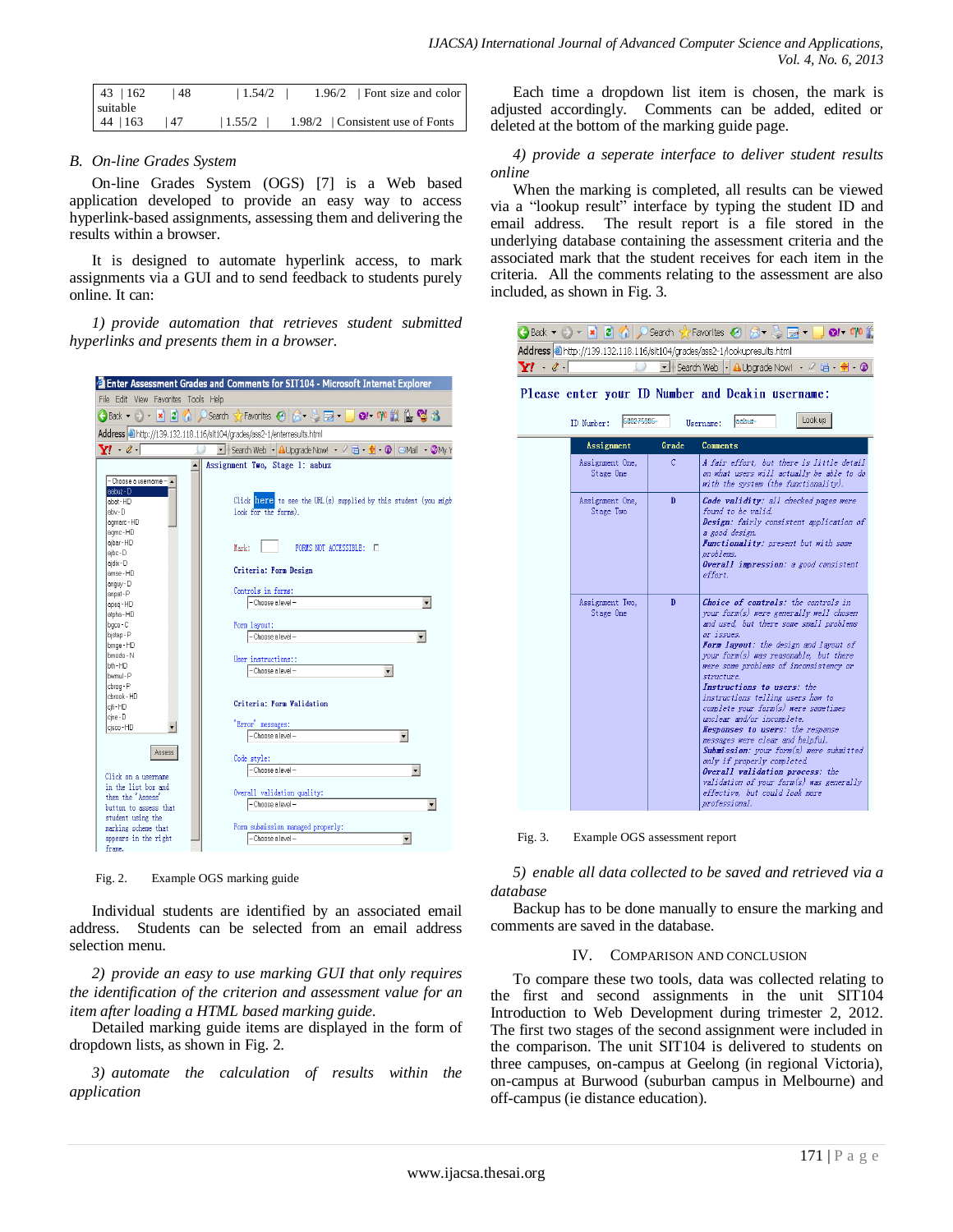| $43 \mid 162$        | 48   | 1.54/2 | 1.96/2   Font size and color   |
|----------------------|------|--------|--------------------------------|
| suitable<br>44   163 | l 47 | 1.55/2 | 1.98/2 Consistent use of Fonts |
|                      |      |        |                                |

## *B. On-line Grades System*

On-line Grades System (OGS) [7] is a Web based application developed to provide an easy way to access hyperlink-based assignments, assessing them and delivering the results within a browser.

It is designed to automate hyperlink access, to mark assignments via a GUI and to send feedback to students purely online. It can:

*1) provide automation that retrieves student submitted hyperlinks and presents them in a browser.*



Fig. 2. Example OGS marking guide

Individual students are identified by an associated email address. Students can be selected from an email address selection menu.

*2) provide an easy to use marking GUI that only requires the identification of the criterion and assessment value for an item after loading a HTML based marking guide.*

Detailed marking guide items are displayed in the form of dropdown lists, as shown in Fig. 2.

*3) automate the calculation of results within the application*

Each time a dropdown list item is chosen, the mark is adjusted accordingly. Comments can be added, edited or deleted at the bottom of the marking guide page.

## *4) provide a seperate interface to deliver student results online*

When the marking is completed, all results can be viewed via a "lookup result" interface by typing the student ID and email address. The result report is a file stored in the underlying database containing the assessment criteria and the associated mark that the student receives for each item in the criteria. All the comments relating to the assessment are also included, as shown in Fig. 3.

|                                                  |  |  |  |  | $\bigodot$ Back $\star$ $\odot$ $\star$ $\blacksquare$ $\bigodot$ $\bigodot$ Search $\chi$ Favorites $\bigodot$ $\bigcirc$ $\star$ $\bigcirc$ $\bigodot$ $\bullet$ $\cdot$ $\bigcirc$ $\bullet$ $\bullet$ $\uparrow$ $\circ$ |  |  |  |  |  |
|--------------------------------------------------|--|--|--|--|------------------------------------------------------------------------------------------------------------------------------------------------------------------------------------------------------------------------------|--|--|--|--|--|
|                                                  |  |  |  |  | Address <sup>3</sup> http://139.132.118.116/sit104/grades/ass2-1/lookupresults.html                                                                                                                                          |  |  |  |  |  |
| $\mathbf{Y}! \rightarrow \mathscr{C} \cdot \Box$ |  |  |  |  | → Filsearch Web   Al Upgrade Now! · 2 百·  → O                                                                                                                                                                                |  |  |  |  |  |

Grade

 $\mathbf D$ 

 $\mathbf{D}$ 

Username: aabuz-

Comments

problei

effort.

or issues.

structure.

professional.

found to be valid.

Lookup

A fair effort, but there is little detail

on what users will actually be able to do

Code validity: all checked pages were

Design: fairly consistent application of

a good design.<br>**Functionality**: present but with some

Overall impression: a good consistent

Choice of controls: the controls in

your form(s) were generally well chosen

and used, but there some small problems

Form layout: the design and layout of

your form(s) was reasonable, but there

ere some problems of inconsistency or

Instructions to users: the instructions telling users how to<br>complete your form(s) were sometimes<br>unclear and/or incomplete.

Responses to users: the response

Overall validation process: the

 $\textit{Submission: your form}(s)$  were submitted

validation of your form(s) was generally<br>effective, but could look more

messages were clear and helpful.

only if properly completed.

with the system (the functionality).

Please enter your ID Number and Deakin username:

Fig. 3. Example OGS assessment report

Assignment

Assignment One.

Stage One

Assignment One,

Stage Two

Assignment Two.

Stage One

*5) enable all data collected to be saved and retrieved via a database*

Backup has to be done manually to ensure the marking and comments are saved in the database.

## IV. COMPARISON AND CONCLUSION

To compare these two tools, data was collected relating to the first and second assignments in the unit SIT104 Introduction to Web Development during trimester 2, 2012. The first two stages of the second assignment were included in the comparison. The unit SIT104 is delivered to students on three campuses, on-campus at Geelong (in regional Victoria), on-campus at Burwood (suburban campus in Melbourne) and off-campus (ie distance education).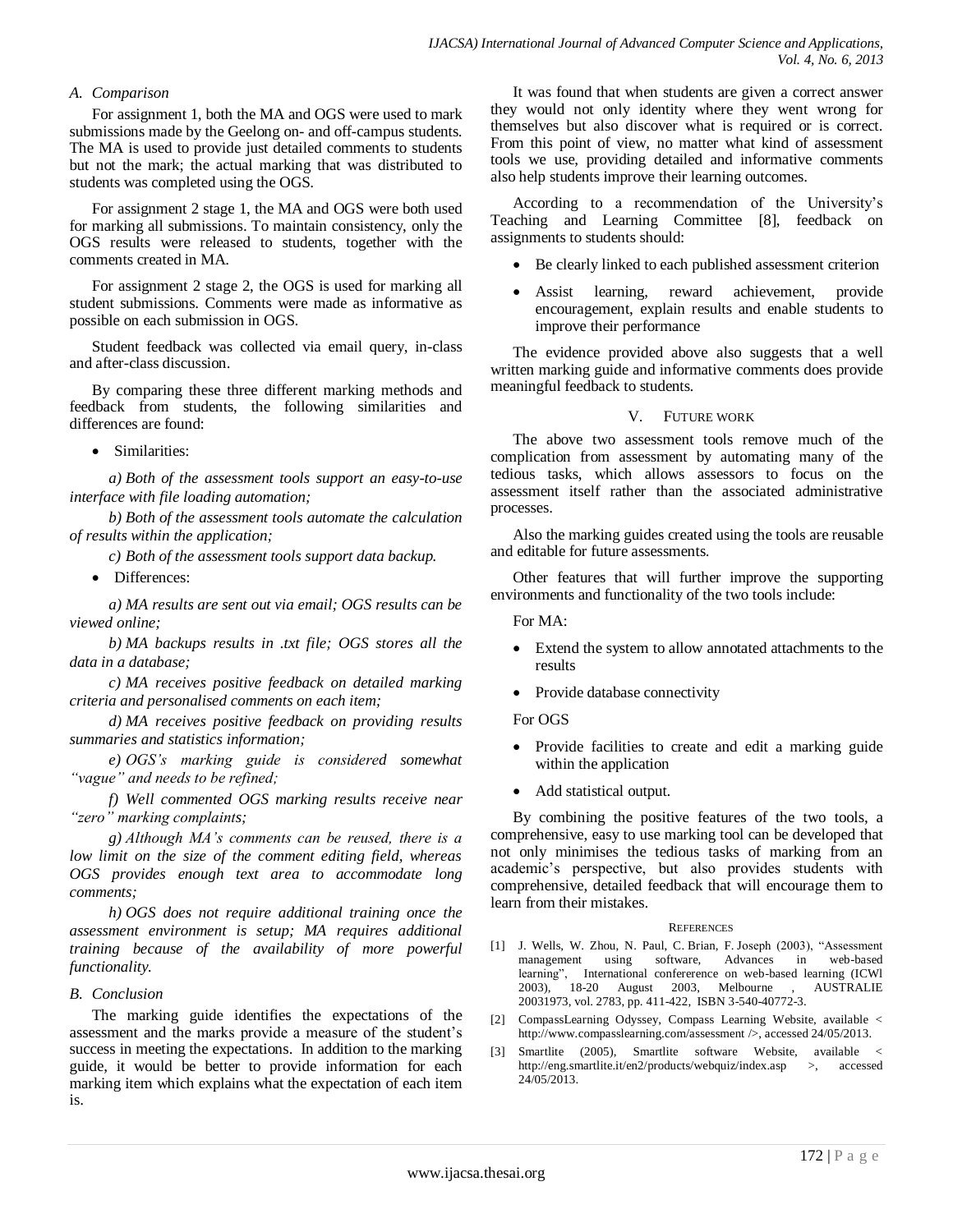## *A. Comparison*

For assignment 1, both the MA and OGS were used to mark submissions made by the Geelong on- and off-campus students. The MA is used to provide just detailed comments to students but not the mark; the actual marking that was distributed to students was completed using the OGS.

For assignment 2 stage 1, the MA and OGS were both used for marking all submissions. To maintain consistency, only the OGS results were released to students, together with the comments created in MA.

For assignment 2 stage 2, the OGS is used for marking all student submissions. Comments were made as informative as possible on each submission in OGS.

Student feedback was collected via email query, in-class and after-class discussion.

By comparing these three different marking methods and feedback from students, the following similarities and differences are found:

• Similarities:

*a) Both of the assessment tools support an easy-to-use interface with file loading automation;*

*b) Both of the assessment tools automate the calculation of results within the application;*

*c) Both of the assessment tools support data backup.*

• Differences:

*a) MA results are sent out via email; OGS results can be viewed online;*

*b) MA backups results in .txt file; OGS stores all the data in a database;* 

*c) MA receives positive feedback on detailed marking criteria and personalised comments on each item;*

*d) MA receives positive feedback on providing results summaries and statistics information;* 

*e) OGS's marking guide is considered somewhat "vague" and needs to be refined;* 

*f) Well commented OGS marking results receive near "zero" marking complaints;*

*g) Although MA's comments can be reused, there is a low limit on the size of the comment editing field, whereas OGS provides enough text area to accommodate long comments;*

*h) OGS does not require additional training once the assessment environment is setup; MA requires additional training because of the availability of more powerful functionality.* 

## *B. Conclusion*

The marking guide identifies the expectations of the assessment and the marks provide a measure of the student's success in meeting the expectations. In addition to the marking guide, it would be better to provide information for each marking item which explains what the expectation of each item is.

It was found that when students are given a correct answer they would not only identity where they went wrong for themselves but also discover what is required or is correct. From this point of view, no matter what kind of assessment tools we use, providing detailed and informative comments also help students improve their learning outcomes.

According to a recommendation of the University's Teaching and Learning Committee [8], feedback on assignments to students should:

- Be clearly linked to each published assessment criterion
- Assist learning, reward achievement, provide encouragement, explain results and enable students to improve their performance

The evidence provided above also suggests that a well written marking guide and informative comments does provide meaningful feedback to students.

## V. FUTURE WORK

The above two assessment tools remove much of the complication from assessment by automating many of the tedious tasks, which allows assessors to focus on the assessment itself rather than the associated administrative processes.

Also the marking guides created using the tools are reusable and editable for future assessments.

Other features that will further improve the supporting environments and functionality of the two tools include:

For  $MA$ .

- Extend the system to allow annotated attachments to the results
- Provide database connectivity

For OGS

- Provide facilities to create and edit a marking guide within the application
- Add statistical output.

By combining the positive features of the two tools, a comprehensive, easy to use marking tool can be developed that not only minimises the tedious tasks of marking from an academic's perspective, but also provides students with comprehensive, detailed feedback that will encourage them to learn from their mistakes.

#### **REFERENCES**

- [1] J. Wells, W. Zhou, N. Paul, C. Brian, F. Joseph (2003), "Assessment management using software, Advances in learning", International confererence on web-based learning (ICWl 2003), 18-20 August 2003, Melbourne , AUSTRALIE 20031973, vol. 2783, pp. 411-422, ISBN 3-540-40772-3.
- [2] CompassLearning Odyssey, Compass Learning Website, available < http://www.compasslearning.com/assessment />, accessed 24/05/2013.
- [3] Smartlite (2005), Smartlite software Website, available < http://eng.smartlite.it/en2/products/webquiz/index.asp >, accessed 24/05/2013.